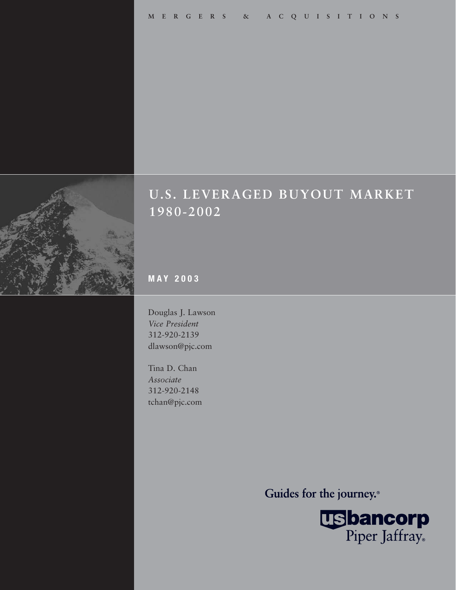

# **U.S. LEVERAGED BUYOUT MARKET 1980-2002**

**MAY 2003**

Douglas J. Lawson *Vice President* 312-920-2139 dlawson@pjc.com

Tina D. Chan *Associate* 312-920-2148 tchan@pjc.com

Guides for the journey.<sup>®</sup>

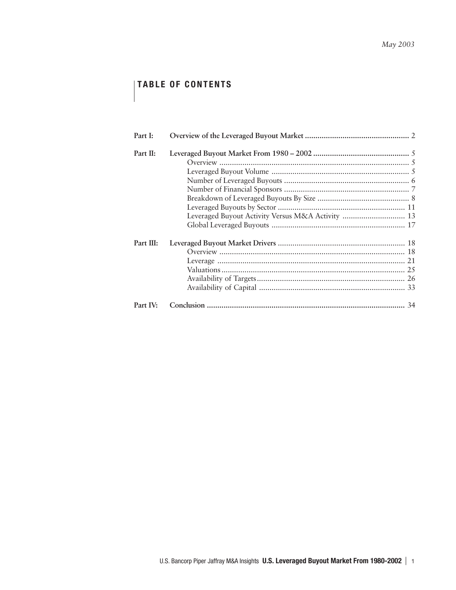# **TABLE OF CONTENTS**

| Part I:   |  |
|-----------|--|
| Part II:  |  |
|           |  |
|           |  |
|           |  |
|           |  |
|           |  |
|           |  |
|           |  |
|           |  |
|           |  |
| Part III: |  |
|           |  |
|           |  |
|           |  |
|           |  |
|           |  |
|           |  |
| Part IV:  |  |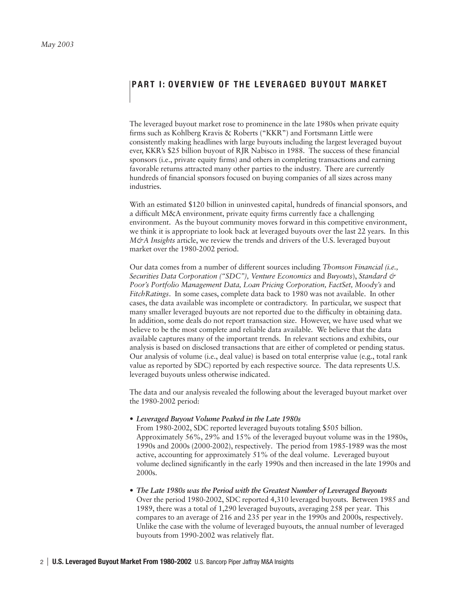# **PART I: OVERVIEW OF THE LEVERAGED BUYOUT MARKET**

The leveraged buyout market rose to prominence in the late 1980s when private equity firms such as Kohlberg Kravis & Roberts ("KKR") and Fortsmann Little were consistently making headlines with large buyouts including the largest leveraged buyout ever, KKR's \$25 billion buyout of RJR Nabisco in 1988. The success of these financial sponsors (i.e., private equity firms) and others in completing transactions and earning favorable returns attracted many other parties to the industry. There are currently hundreds of financial sponsors focused on buying companies of all sizes across many industries.

With an estimated \$120 billion in uninvested capital, hundreds of financial sponsors, and a difficult M&A environment, private equity firms currently face a challenging environment. As the buyout community moves forward in this competitive environment, we think it is appropriate to look back at leveraged buyouts over the last 22 years. In this *M&A Insights* article, we review the trends and drivers of the U.S. leveraged buyout market over the 1980-2002 period.

Our data comes from a number of different sources including *Thomson Financial (i.e., Securities Data Corporation ("SDC"), Venture Economics* and *Buyouts*), *Standard & Poor's Portfolio Management Data, Loan Pricing Corporation, FactSet, Moody's* and *FitchRatings*. In some cases, complete data back to 1980 was not available. In other cases, the data available was incomplete or contradictory. In particular, we suspect that many smaller leveraged buyouts are not reported due to the difficulty in obtaining data. In addition, some deals do not report transaction size. However, we have used what we believe to be the most complete and reliable data available. We believe that the data available captures many of the important trends. In relevant sections and exhibits, our analysis is based on disclosed transactions that are either of completed or pending status. Our analysis of volume (i.e., deal value) is based on total enterprise value (e.g., total rank value as reported by SDC) reported by each respective source. The data represents U.S. leveraged buyouts unless otherwise indicated.

The data and our analysis revealed the following about the leveraged buyout market over the 1980-2002 period:

*• Leveraged Buyout Volume Peaked in the Late 1980s*

From 1980-2002, SDC reported leveraged buyouts totaling \$505 billion. Approximately 56%, 29% and 15% of the leveraged buyout volume was in the 1980s, 1990s and 2000s (2000-2002), respectively. The period from 1985-1989 was the most active, accounting for approximately 51% of the deal volume. Leveraged buyout volume declined significantly in the early 1990s and then increased in the late 1990s and 2000s.

*• The Late 1980s was the Period with the Greatest Number of Leveraged Buyouts* Over the period 1980-2002, SDC reported 4,310 leveraged buyouts. Between 1985 and 1989, there was a total of 1,290 leveraged buyouts, averaging 258 per year. This compares to an average of 216 and 235 per year in the 1990s and 2000s, respectively. Unlike the case with the volume of leveraged buyouts, the annual number of leveraged buyouts from 1990-2002 was relatively flat.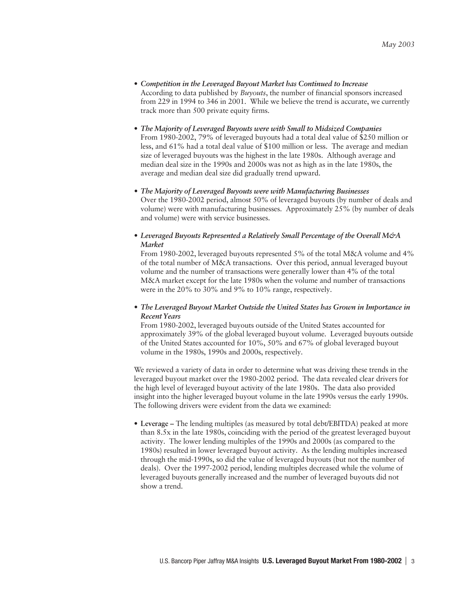- *Competition in the Leveraged Buyout Market has Continued to Increase* According to data published by *Buyouts*, the number of financial sponsors increased from 229 in 1994 to 346 in 2001. While we believe the trend is accurate, we currently track more than 500 private equity firms.
- *The Majority of Leveraged Buyouts were with Small to Midsized Companies* From 1980-2002, 79% of leveraged buyouts had a total deal value of \$250 million or less, and 61% had a total deal value of \$100 million or less. The average and median size of leveraged buyouts was the highest in the late 1980s. Although average and median deal size in the 1990s and 2000s was not as high as in the late 1980s, the average and median deal size did gradually trend upward.
- *The Majority of Leveraged Buyouts were with Manufacturing Businesses* Over the 1980-2002 period, almost 50% of leveraged buyouts (by number of deals and volume) were with manufacturing businesses. Approximately 25% (by number of deals and volume) were with service businesses.
- *• Leveraged Buyouts Represented a Relatively Small Percentage of the Overall M&A Market*

From 1980-2002, leveraged buyouts represented 5% of the total M&A volume and 4% of the total number of M&A transactions. Over this period, annual leveraged buyout volume and the number of transactions were generally lower than 4% of the total M&A market except for the late 1980s when the volume and number of transactions were in the 20% to 30% and 9% to 10% range, respectively.

# *• The Leveraged Buyout Market Outside the United States has Grown in Importance in Recent Years*

From 1980-2002, leveraged buyouts outside of the United States accounted for approximately 39% of the global leveraged buyout volume. Leveraged buyouts outside of the United States accounted for 10%, 50% and 67% of global leveraged buyout volume in the 1980s, 1990s and 2000s, respectively.

We reviewed a variety of data in order to determine what was driving these trends in the leveraged buyout market over the 1980-2002 period. The data revealed clear drivers for the high level of leveraged buyout activity of the late 1980s. The data also provided insight into the higher leveraged buyout volume in the late 1990s versus the early 1990s. The following drivers were evident from the data we examined:

• **Leverage –** The lending multiples (as measured by total debt/EBITDA) peaked at more than 8.5x in the late 1980s, coinciding with the period of the greatest leveraged buyout activity. The lower lending multiples of the 1990s and 2000s (as compared to the 1980s) resulted in lower leveraged buyout activity. As the lending multiples increased through the mid-1990s, so did the value of leveraged buyouts (but not the number of deals). Over the 1997-2002 period, lending multiples decreased while the volume of leveraged buyouts generally increased and the number of leveraged buyouts did not show a trend.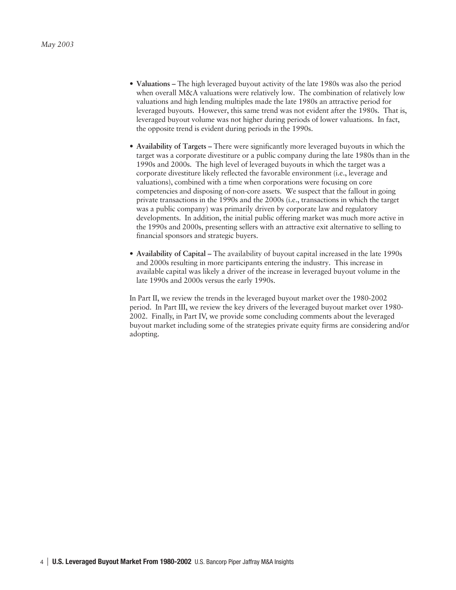- **Valuations** The high leveraged buyout activity of the late 1980s was also the period when overall M&A valuations were relatively low. The combination of relatively low valuations and high lending multiples made the late 1980s an attractive period for leveraged buyouts. However, this same trend was not evident after the 1980s. That is, leveraged buyout volume was not higher during periods of lower valuations. In fact, the opposite trend is evident during periods in the 1990s.
- **Availability of Targets** There were significantly more leveraged buyouts in which the target was a corporate divestiture or a public company during the late 1980s than in the 1990s and 2000s. The high level of leveraged buyouts in which the target was a corporate divestiture likely reflected the favorable environment (i.e., leverage and valuations), combined with a time when corporations were focusing on core competencies and disposing of non-core assets. We suspect that the fallout in going private transactions in the 1990s and the 2000s (i.e., transactions in which the target was a public company) was primarily driven by corporate law and regulatory developments. In addition, the initial public offering market was much more active in the 1990s and 2000s, presenting sellers with an attractive exit alternative to selling to financial sponsors and strategic buyers.
- **Availability of Capital** The availability of buyout capital increased in the late 1990s and 2000s resulting in more participants entering the industry. This increase in available capital was likely a driver of the increase in leveraged buyout volume in the late 1990s and 2000s versus the early 1990s.

In Part II, we review the trends in the leveraged buyout market over the 1980-2002 period. In Part III, we review the key drivers of the leveraged buyout market over 1980- 2002. Finally, in Part IV, we provide some concluding comments about the leveraged buyout market including some of the strategies private equity firms are considering and/or adopting.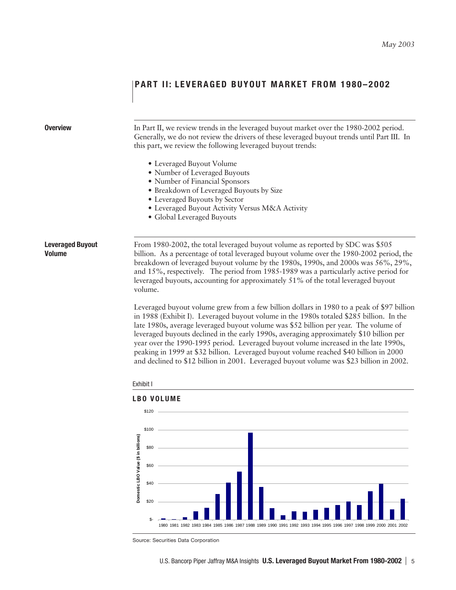# **PART II: LEVERAGED BUYOUT MARKET FROM 1980-2002**

# **Overview** In Part II, we review trends in the leveraged buyout market over the 1980-2002 period. Generally, we do not review the drivers of these leveraged buyout trends until Part III. In this part, we review the following leveraged buyout trends: • Leveraged Buyout Volume • Number of Leveraged Buyouts • Number of Financial Sponsors • Breakdown of Leveraged Buyouts by Size • Leveraged Buyouts by Sector • Leveraged Buyout Activity Versus M&A Activity • Global Leveraged Buyouts **Leveraged Buyout** From 1980-2002, the total leveraged buyout volume as reported by SDC was \$505 **Volume** billion. As a percentage of total leveraged buyout volume over the 1980-2002 period, the breakdown of leveraged buyout volume by the 1980s, 1990s, and 2000s was 56%, 29%, and 15%, respectively. The period from 1985-1989 was a particularly active period for leveraged buyouts, accounting for approximately 51% of the total leveraged buyout volume. Leveraged buyout volume grew from a few billion dollars in 1980 to a peak of \$97 billion in 1988 (Exhibit I). Leveraged buyout volume in the 1980s totaled \$285 billion. In the late 1980s, average leveraged buyout volume was \$52 billion per year. The volume of leveraged buyouts declined in the early 1990s, averaging approximately \$10 billion per year over the 1990-1995 period. Leveraged buyout volume increased in the late 1990s, peaking in 1999 at \$32 billion. Leveraged buyout volume reached \$40 billion in 2000 and declined to \$12 billion in 2001. Leveraged buyout volume was \$23 billion in 2002. Exhibit I **LBO VOLUME** \$120 \$100 Domestic LBO Value (\$ in billions) **Domestic LBO Value (\$ in billions)**\$80 \$60  $$40$

Source: Securities Data Corporation

\$-

\$20

1980 1981 1982 1983 1984 1985 1986 1987 1988 1989 1990 1991 1992 1993 1994 1995 1996 1997 1998 1999 2000 2001 2002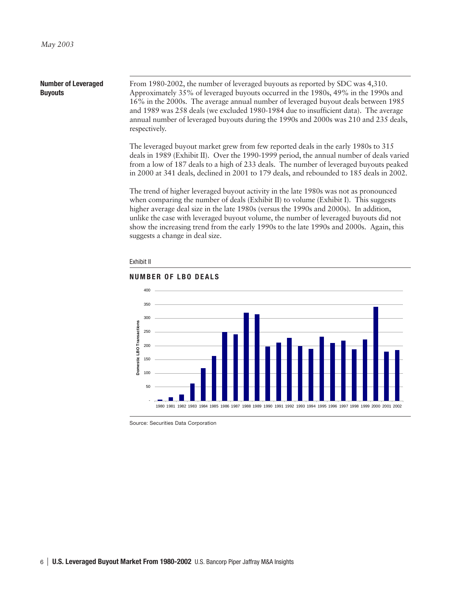#### **Number of Leveraged Buyouts** From 1980-2002, the number of leveraged buyouts as reported by SDC was 4,310. Approximately 35% of leveraged buyouts occurred in the 1980s, 49% in the 1990s and 16% in the 2000s. The average annual number of leveraged buyout deals between 1985 and 1989 was 258 deals (we excluded 1980-1984 due to insufficient data). The average

The leveraged buyout market grew from few reported deals in the early 1980s to 315 deals in 1989 (Exhibit II). Over the 1990-1999 period, the annual number of deals varied from a low of 187 deals to a high of 233 deals. The number of leveraged buyouts peaked in 2000 at 341 deals, declined in 2001 to 179 deals, and rebounded to 185 deals in 2002.

annual number of leveraged buyouts during the 1990s and 2000s was 210 and 235 deals,

The trend of higher leveraged buyout activity in the late 1980s was not as pronounced when comparing the number of deals (Exhibit II) to volume (Exhibit I). This suggests higher average deal size in the late 1980s (versus the 1990s and 2000s). In addition, unlike the case with leveraged buyout volume, the number of leveraged buyouts did not show the increasing trend from the early 1990s to the late 1990s and 2000s. Again, this suggests a change in deal size.



#### Exhibit II

respectively.

Source: Securities Data Corporation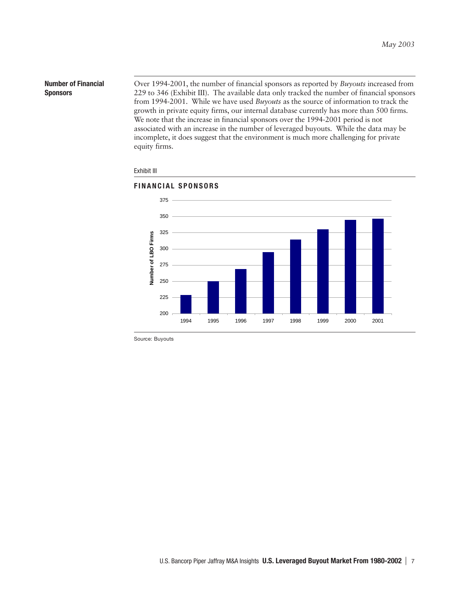# **Number of Financial Sponsors**

Over 1994-2001, the number of financial sponsors as reported by *Buyouts* increased from 229 to 346 (Exhibit III). The available data only tracked the number of financial sponsors from 1994-2001. While we have used *Buyouts* as the source of information to track the growth in private equity firms, our internal database currently has more than 500 firms. We note that the increase in financial sponsors over the 1994-2001 period is not associated with an increase in the number of leveraged buyouts. While the data may be incomplete, it does suggest that the environment is much more challenging for private equity firms.



# Exhibit III

Source: Buyouts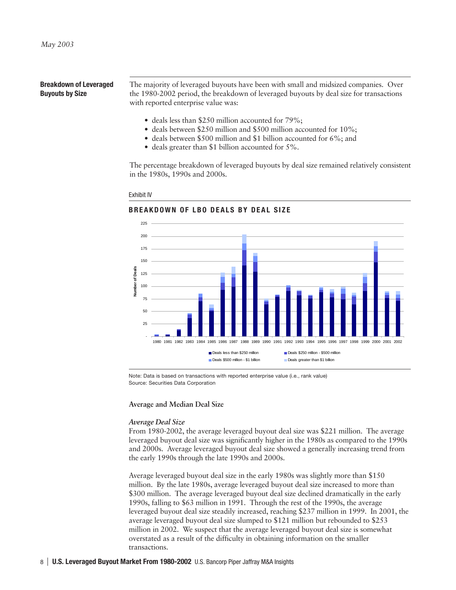# **Breakdown of Leveraged Buyouts by Size**

The majority of leveraged buyouts have been with small and midsized companies. Over the 1980-2002 period, the breakdown of leveraged buyouts by deal size for transactions with reported enterprise value was:

- deals less than \$250 million accounted for 79%;
- deals between \$250 million and \$500 million accounted for 10%;
- deals between \$500 million and \$1 billion accounted for 6%; and
- deals greater than \$1 billion accounted for 5%.

The percentage breakdown of leveraged buyouts by deal size remained relatively consistent in the 1980s, 1990s and 2000s.

#### Exhibit IV

# **BREAKDOWN OF LBO DEALS BY DEAL SIZE**



Note: Data is based on transactions with reported enterprise value (i.e., rank value) Source: Securities Data Corporation

#### **Average and Median Deal Size**

# *Average Deal Size*

From 1980-2002, the average leveraged buyout deal size was \$221 million. The average leveraged buyout deal size was significantly higher in the 1980s as compared to the 1990s and 2000s. Average leveraged buyout deal size showed a generally increasing trend from the early 1990s through the late 1990s and 2000s.

Average leveraged buyout deal size in the early 1980s was slightly more than \$150 million. By the late 1980s, average leveraged buyout deal size increased to more than \$300 million. The average leveraged buyout deal size declined dramatically in the early 1990s, falling to \$63 million in 1991. Through the rest of the 1990s, the average leveraged buyout deal size steadily increased, reaching \$237 million in 1999. In 2001, the average leveraged buyout deal size slumped to \$121 million but rebounded to \$253 million in 2002. We suspect that the average leveraged buyout deal size is somewhat overstated as a result of the difficulty in obtaining information on the smaller transactions.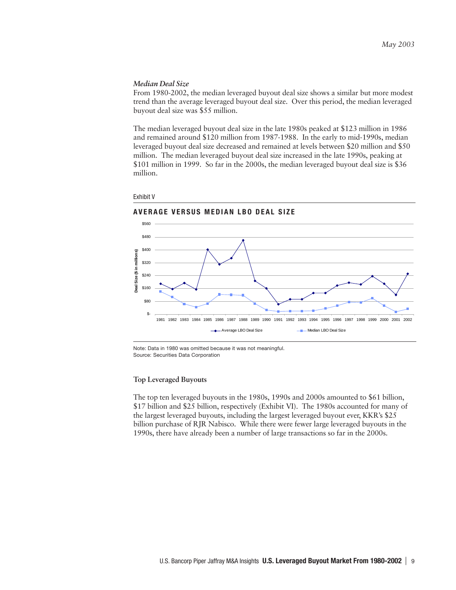# *Median Deal Size*

From 1980-2002, the median leveraged buyout deal size shows a similar but more modest trend than the average leveraged buyout deal size. Over this period, the median leveraged buyout deal size was \$55 million.

The median leveraged buyout deal size in the late 1980s peaked at \$123 million in 1986 and remained around \$120 million from 1987-1988. In the early to mid-1990s, median leveraged buyout deal size decreased and remained at levels between \$20 million and \$50 million. The median leveraged buyout deal size increased in the late 1990s, peaking at \$101 million in 1999. So far in the 2000s, the median leveraged buyout deal size is \$36 million.







Note: Data in 1980 was omitted because it was not meaningful. Source: Securities Data Corporation

# **Top Leveraged Buyouts**

The top ten leveraged buyouts in the 1980s, 1990s and 2000s amounted to \$61 billion, \$17 billion and \$25 billion, respectively (Exhibit VI). The 1980s accounted for many of the largest leveraged buyouts, including the largest leveraged buyout ever, KKR's \$25 billion purchase of RJR Nabisco. While there were fewer large leveraged buyouts in the 1990s, there have already been a number of large transactions so far in the 2000s.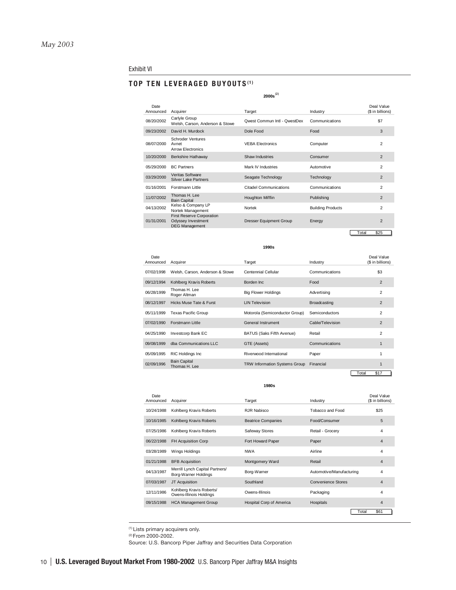#### Exhibit VI

# **TOP TEN LEVERAGED BUYOUTS (1)**

#### **2000s -** Date Deal Value Announced Acquirer **Industry** Target **Industry** Industry (\$ in billions) 08/20/2002 Carlyle Group Welsh, Carson, Anderson & Stowe Qwest Commun Intl - QwestDex Communications \$7 09/23/2002 David H. Murdock Dole Food Food Food Food 3 08/07/2000 Schroder Ventures Avnet Arrow Electronics VEBA Electronics Computer 2 10/20/2000 Berkshire Hathaway Shaw Industries Consumer 2 05/29/2000 BC Partners **Mark IV Industries** Automotive 2 03/29/2000 Veritas Software Silver Lake Partners Seagate Technology Technology 2 01/16/2001 Forstmann Little Citadel Communications Communications 2 11/07/2002 Thomas H. Lee<br>Bain Capital Bain Capital Houghton Mifflin 2 04/13/2002 Kelso & Company LP Kelso & Company LP<br>Nortek Management **Nortek Ruilding Products** 2 01/31/2001 First Reserve Corporation Odyssey Investment DEG Management **Dresser Equipment Group Community Energy 2**

Total \$25

**1990s**

| Date<br>Announced | Acquirer                             | Target                               | Industry            | Deal Value<br>(\$ in billions) |
|-------------------|--------------------------------------|--------------------------------------|---------------------|--------------------------------|
| 07/02/1998        | Welsh, Carson, Anderson & Stowe      | Centennial Cellular                  | Communications      | \$3                            |
| 09/12/1994        | Kohlberg Kravis Roberts              | Borden Inc                           | Food                | $\overline{2}$                 |
| 06/28/1999        | Thomas H. Lee<br>Roger Altman        | <b>Big Flower Holdings</b>           | Advertising         | $\overline{2}$                 |
| 08/12/1997        | Hicks Muse Tate & Furst              | <b>LIN Television</b>                | <b>Broadcasting</b> | $\overline{2}$                 |
| 05/11/1999        | Texas Pacific Group                  | Motorola (Semiconductor Group)       | Semiconductors      | 2                              |
| 07/02/1990        | Forstmann Little                     | General Instrument                   | Cable/Television    | $\overline{2}$                 |
| 04/25/1990        | Investcorp Bank EC                   | BATUS (Saks Fifth Avenue)            | Retail              | $\overline{2}$                 |
| 09/08/1999        | dba Communications LLC               | GTE (Assets)                         | Communications      |                                |
| 05/09/1995        | RIC Holdings Inc.                    | Riverwood International              | Paper               |                                |
| 02/09/1996        | <b>Bain Capital</b><br>Thomas H. Lee | <b>TRW Information Systems Group</b> | Financial           |                                |
|                   |                                      |                                      |                     | Total<br>\$17                  |

**1980s**

| Date<br>Announced | Acquirer                                                | Target                          | Industry                  | Deal Value<br>(\$ in billions) |
|-------------------|---------------------------------------------------------|---------------------------------|---------------------------|--------------------------------|
| 10/24/1988        | Kohlberg Kravis Roberts                                 | RJR Nabisco                     | Tobacco and Food          | \$25                           |
| 10/16/1985        | Kohlberg Kravis Roberts                                 | <b>Beatrice Companies</b>       | Food/Consumer             | 5                              |
| 07/25/1986        | Kohlberg Kravis Roberts                                 | Safeway Stores                  | Retail - Grocery          | 4                              |
| 06/22/1988        | FH Acquisition Corp                                     | Fort Howard Paper               | Paper                     | $\overline{4}$                 |
| 03/28/1989        | Wings Holdings                                          | <b>NWA</b>                      | Airline                   | 4                              |
| 01/21/1988        | <b>BFB Acquisition</b>                                  | Montgomery Ward                 | Retail                    | $\overline{4}$                 |
| 04/13/1987        | Merrill Lynch Capital Partners/<br>Borg-Warner Holdings | Borg-Warner                     | Automotive/Manufacturing  | 4                              |
| 07/03/1987        | JT Acquisition                                          | Southland                       | <b>Convenience Stores</b> | $\overline{4}$                 |
| 12/11/1986        | Kohlberg Kravis Roberts/<br>Owens-Illinois Holdings     | Owens-Illinois                  | Packaging                 | 4                              |
| 09/15/1988        | <b>HCA Management Group</b>                             | <b>Hospital Corp of America</b> | Hospitals                 | $\overline{4}$                 |
|                   |                                                         |                                 | Total                     | \$61                           |

(1) Lists primary acquirers only.

(2) From 2000-2002.

Source: U.S. Bancorp Piper Jaffray and Securities Data Corporation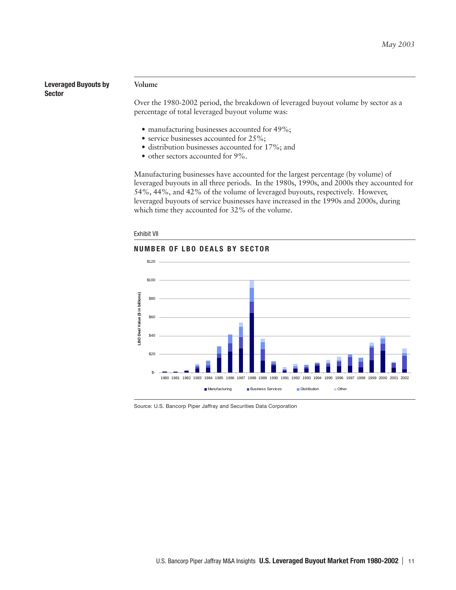**Leveraged Buyouts by Sector**

#### **Volume**

Over the 1980-2002 period, the breakdown of leveraged buyout volume by sector as a percentage of total leveraged buyout volume was:

- manufacturing businesses accounted for 49%;
- service businesses accounted for 25%;
- distribution businesses accounted for 17%; and
- other sectors accounted for 9%.

Manufacturing businesses have accounted for the largest percentage (by volume) of leveraged buyouts in all three periods. In the 1980s, 1990s, and 2000s they accounted for 54%, 44%, and 42% of the volume of leveraged buyouts, respectively. However, leveraged buyouts of service businesses have increased in the 1990s and 2000s, during which time they accounted for 32% of the volume.

#### Exhibit VII

# **NUMBER OF LBO DEALS BY SECTOR**



Source: U.S. Bancorp Piper Jaffray and Securities Data Corporation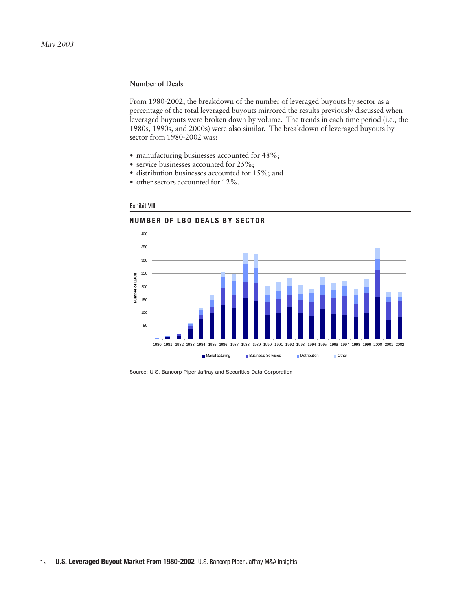# **Number of Deals**

From 1980-2002, the breakdown of the number of leveraged buyouts by sector as a percentage of the total leveraged buyouts mirrored the results previously discussed when leveraged buyouts were broken down by volume. The trends in each time period (i.e., the 1980s, 1990s, and 2000s) were also similar. The breakdown of leveraged buyouts by sector from 1980-2002 was:

- manufacturing businesses accounted for 48%;
- service businesses accounted for 25%;
- distribution businesses accounted for 15%; and
- other sectors accounted for 12%.

# Exhibit VIII





Source: U.S. Bancorp Piper Jaffray and Securities Data Corporation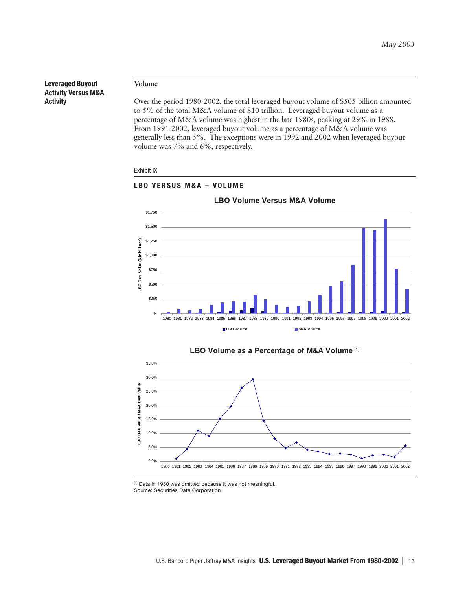**Leveraged Buyout Activity Versus M&A Activity**

# **Volume**

Over the period 1980-2002, the total leveraged buyout volume of \$505 billion amounted to 5% of the total M&A volume of \$10 trillion. Leveraged buyout volume as a percentage of M&A volume was highest in the late 1980s, peaking at 29% in 1988. From 1991-2002, leveraged buyout volume as a percentage of M&A volume was generally less than 5%. The exceptions were in 1992 and 2002 when leveraged buyout volume was 7% and 6%, respectively.











(1) Data in 1980 was omitted because it was not meaningful.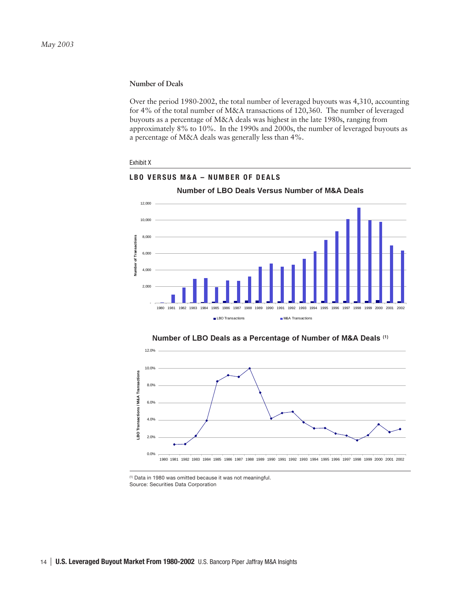# **Number of Deals**

Over the period 1980-2002, the total number of leveraged buyouts was 4,310, accounting for 4% of the total number of M&A transactions of 120,360. The number of leveraged buyouts as a percentage of M&A deals was highest in the late 1980s, ranging from approximately 8% to 10%. In the 1990s and 2000s, the number of leveraged buyouts as a percentage of M&A deals was generally less than 4%.

#### Exhibit X



# Number of LBO Deals Versus Number of M&A Deals

**LBO VERSUS M&A – NUMBER OF DEALS**





<sup>(1)</sup> Data in 1980 was omitted because it was not meaningful. Source: Securities Data Corporation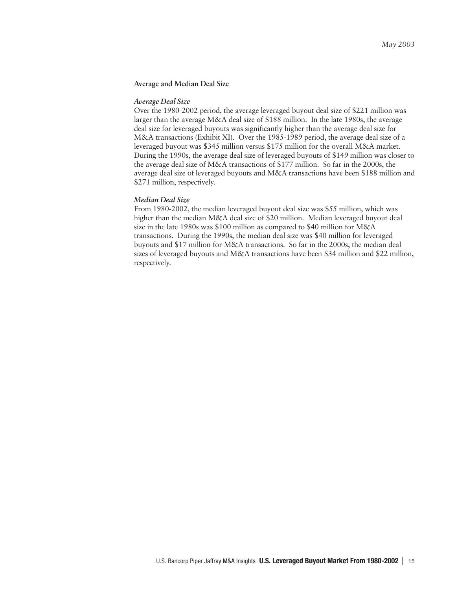# **Average and Median Deal Size**

#### *Average Deal Size*

Over the 1980-2002 period, the average leveraged buyout deal size of \$221 million was larger than the average M&A deal size of \$188 million. In the late 1980s, the average deal size for leveraged buyouts was significantly higher than the average deal size for M&A transactions (Exhibit XI). Over the 1985-1989 period, the average deal size of a leveraged buyout was \$345 million versus \$175 million for the overall M&A market. During the 1990s, the average deal size of leveraged buyouts of \$149 million was closer to the average deal size of M&A transactions of \$177 million. So far in the 2000s, the average deal size of leveraged buyouts and M&A transactions have been \$188 million and \$271 million, respectively.

# *Median Deal Size*

From 1980-2002, the median leveraged buyout deal size was \$55 million, which was higher than the median M&A deal size of \$20 million. Median leveraged buyout deal size in the late 1980s was \$100 million as compared to \$40 million for M&A transactions. During the 1990s, the median deal size was \$40 million for leveraged buyouts and \$17 million for M&A transactions. So far in the 2000s, the median deal sizes of leveraged buyouts and M&A transactions have been \$34 million and \$22 million, respectively.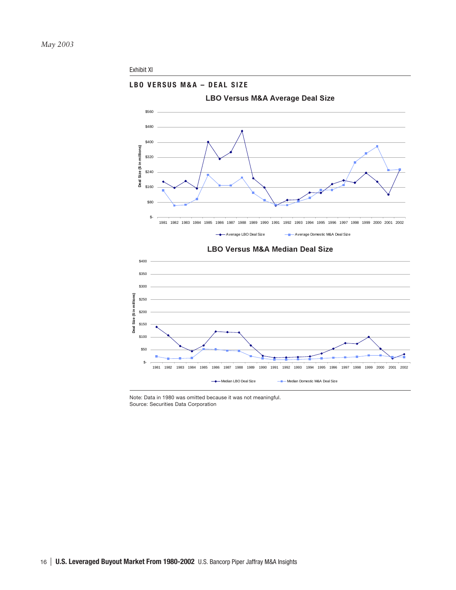

Note: Data in 1980 was omitted because it was not meaningful. Source: Securities Data Corporation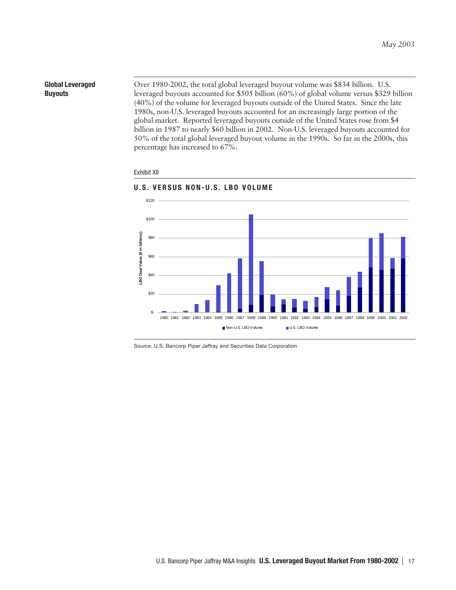# **Global Leveraged Buyouts**

Over 1980-2002, the total global leveraged buyout volume was \$834 billion. U.S. leveraged buyouts accounted for \$505 billion (60%) of global volume versus \$329 billion (40%) of the volume for leveraged buyouts outside of the United States. Since the late 1980s, non-U.S. leveraged buyouts accounted for an increasingly large portion of the global market. Reported leveraged buyouts outside of the United States rose from \$4 billion in 1987 to nearly \$60 billion in 2002. Non-U.S. leveraged buyouts accounted for 50% of the total global leveraged buyout volume in the 1990s. So far in the 2000s, this percentage has increased to 67%.

#### Exhibit XII



# **U.S. VERSUS NON-U.S. LBO VOLUME**

Source: U.S. Bancorp Piper Jaffray and Securities Data Corporation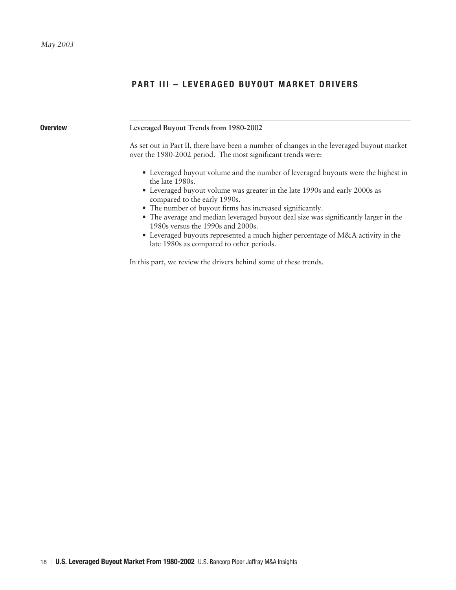# **PART III - LEVERAGED BUYOUT MARKET DRIVERS**

# **Overview Leveraged Buyout Trends from 1980-2002**

As set out in Part II, there have been a number of changes in the leveraged buyout market over the 1980-2002 period. The most significant trends were:

- Leveraged buyout volume and the number of leveraged buyouts were the highest in the late 1980s.
- Leveraged buyout volume was greater in the late 1990s and early 2000s as compared to the early 1990s.
- The number of buyout firms has increased significantly.
- The average and median leveraged buyout deal size was significantly larger in the 1980s versus the 1990s and 2000s.
- Leveraged buyouts represented a much higher percentage of M&A activity in the late 1980s as compared to other periods.

In this part, we review the drivers behind some of these trends.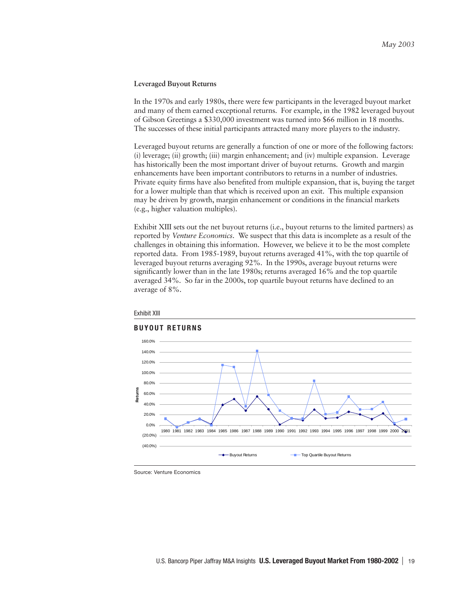# **Leveraged Buyout Returns**

In the 1970s and early 1980s, there were few participants in the leveraged buyout market and many of them earned exceptional returns. For example, in the 1982 leveraged buyout of Gibson Greetings a \$330,000 investment was turned into \$66 million in 18 months. The successes of these initial participants attracted many more players to the industry.

Leveraged buyout returns are generally a function of one or more of the following factors: (i) leverage; (ii) growth; (iii) margin enhancement; and (iv) multiple expansion. Leverage has historically been the most important driver of buyout returns. Growth and margin enhancements have been important contributors to returns in a number of industries. Private equity firms have also benefited from multiple expansion, that is, buying the target for a lower multiple than that which is received upon an exit. This multiple expansion may be driven by growth, margin enhancement or conditions in the financial markets (e.g., higher valuation multiples).

Exhibit XIII sets out the net buyout returns (i.e., buyout returns to the limited partners) as reported by *Venture Economics*. We suspect that this data is incomplete as a result of the challenges in obtaining this information. However, we believe it to be the most complete reported data. From 1985-1989, buyout returns averaged 41%, with the top quartile of leveraged buyout returns averaging 92%. In the 1990s, average buyout returns were significantly lower than in the late 1980s; returns averaged 16% and the top quartile averaged 34%. So far in the 2000s, top quartile buyout returns have declined to an average of 8%.



#### Exhibit XIII

Source: Venture Economics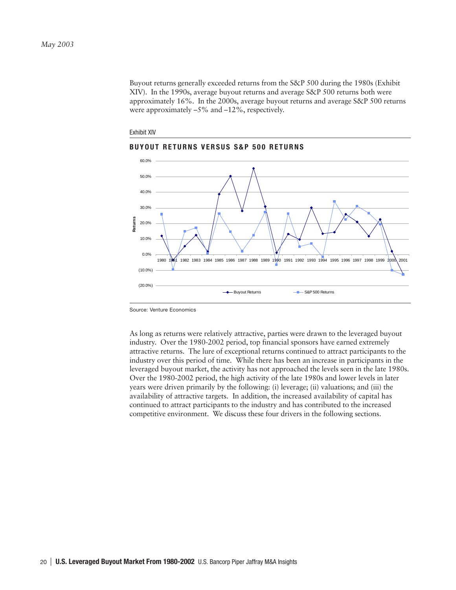Buyout returns generally exceeded returns from the S&P 500 during the 1980s (Exhibit XIV). In the 1990s, average buyout returns and average S&P 500 returns both were approximately 16%. In the 2000s, average buyout returns and average S&P 500 returns were approximately –5% and –12%, respectively.







Source: Venture Economics

As long as returns were relatively attractive, parties were drawn to the leveraged buyout industry. Over the 1980-2002 period, top financial sponsors have earned extremely attractive returns. The lure of exceptional returns continued to attract participants to the industry over this period of time. While there has been an increase in participants in the leveraged buyout market, the activity has not approached the levels seen in the late 1980s. Over the 1980-2002 period, the high activity of the late 1980s and lower levels in later years were driven primarily by the following: (i) leverage; (ii) valuations; and (iii) the availability of attractive targets. In addition, the increased availability of capital has continued to attract participants to the industry and has contributed to the increased competitive environment. We discuss these four drivers in the following sections.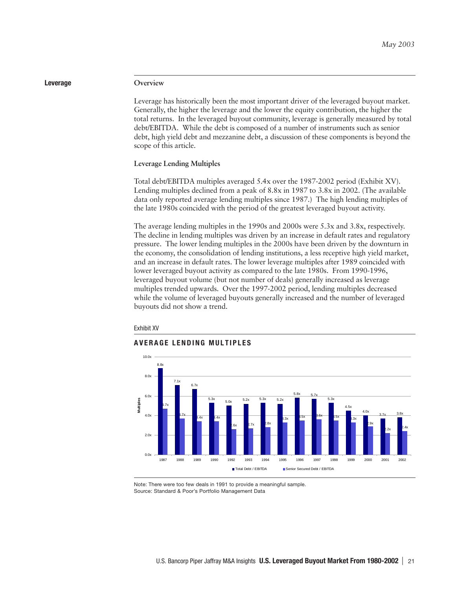# **Leverage Overview**

Leverage has historically been the most important driver of the leveraged buyout market. Generally, the higher the leverage and the lower the equity contribution, the higher the total returns. In the leveraged buyout community, leverage is generally measured by total debt/EBITDA. While the debt is composed of a number of instruments such as senior debt, high yield debt and mezzanine debt, a discussion of these components is beyond the scope of this article.

### **Leverage Lending Multiples**

Total debt/EBITDA multiples averaged 5.4x over the 1987-2002 period (Exhibit XV). Lending multiples declined from a peak of 8.8x in 1987 to 3.8x in 2002. (The available data only reported average lending multiples since 1987.) The high lending multiples of the late 1980s coincided with the period of the greatest leveraged buyout activity.

The average lending multiples in the 1990s and 2000s were 5.3x and 3.8x, respectively. The decline in lending multiples was driven by an increase in default rates and regulatory pressure. The lower lending multiples in the 2000s have been driven by the downturn in the economy, the consolidation of lending institutions, a less receptive high yield market, and an increase in default rates. The lower leverage multiples after 1989 coincided with lower leveraged buyout activity as compared to the late 1980s. From 1990-1996, leveraged buyout volume (but not number of deals) generally increased as leverage multiples trended upwards. Over the 1997-2002 period, lending multiples decreased while the volume of leveraged buyouts generally increased and the number of leveraged buyouts did not show a trend.



# **AVERAGE LENDING MULTIPLES**



Note: There were too few deals in 1991 to provide a meaningful sample. Source: Standard & Poor's Portfolio Management Data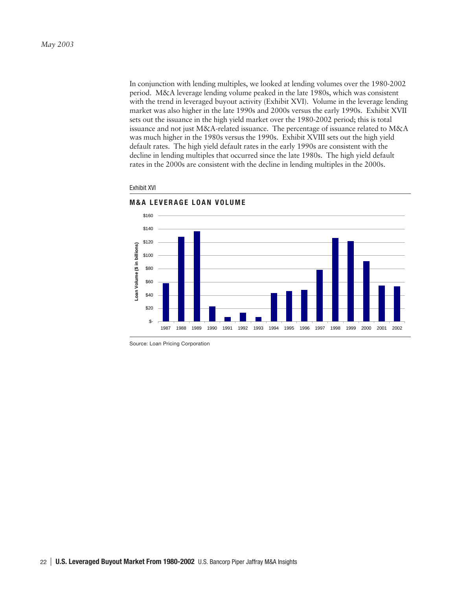In conjunction with lending multiples, we looked at lending volumes over the 1980-2002 period. M&A leverage lending volume peaked in the late 1980s, which was consistent with the trend in leveraged buyout activity (Exhibit XVI). Volume in the leverage lending market was also higher in the late 1990s and 2000s versus the early 1990s. Exhibit XVII sets out the issuance in the high yield market over the 1980-2002 period; this is total issuance and not just M&A-related issuance. The percentage of issuance related to M&A was much higher in the 1980s versus the 1990s. Exhibit XVIII sets out the high yield default rates. The high yield default rates in the early 1990s are consistent with the decline in lending multiples that occurred since the late 1980s. The high yield default rates in the 2000s are consistent with the decline in lending multiples in the 2000s.



#### Exhibit XVI

Source: Loan Pricing Corporation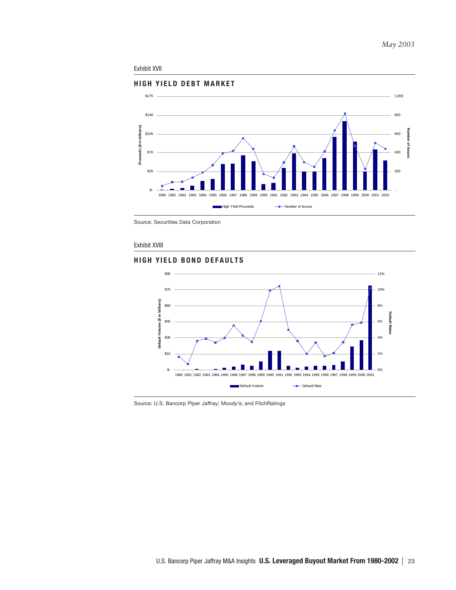#### Exhibit XVII



Source: Securities Data Corporation

## Exhibit XVIII

# **HIGH YIELD BOND DEFAULTS**



Source: U.S. Bancorp Piper Jaffray; Moody's; and FitchRatings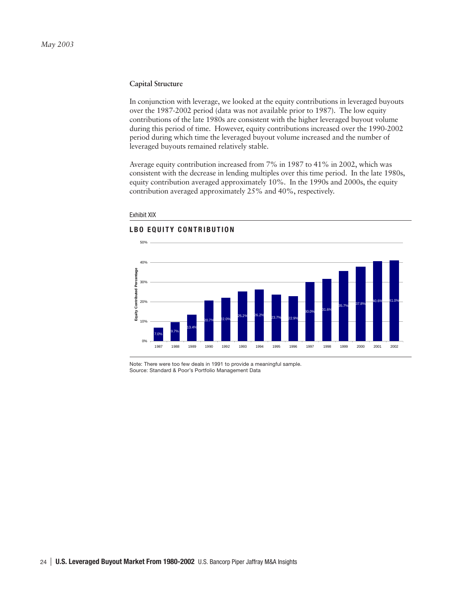# **Capital Structure**

In conjunction with leverage, we looked at the equity contributions in leveraged buyouts over the 1987-2002 period (data was not available prior to 1987). The low equity contributions of the late 1980s are consistent with the higher leveraged buyout volume during this period of time. However, equity contributions increased over the 1990-2002 period during which time the leveraged buyout volume increased and the number of leveraged buyouts remained relatively stable.

Average equity contribution increased from 7% in 1987 to 41% in 2002, which was consistent with the decrease in lending multiples over this time period. In the late 1980s, equity contribution averaged approximately 10%. In the 1990s and 2000s, the equity contribution averaged approximately 25% and 40%, respectively.



#### Exhibit XIX

## **LBO EQUITY CONTRIBUTION**

Note: There were too few deals in 1991 to provide a meaningful sample. Source: Standard & Poor's Portfolio Management Data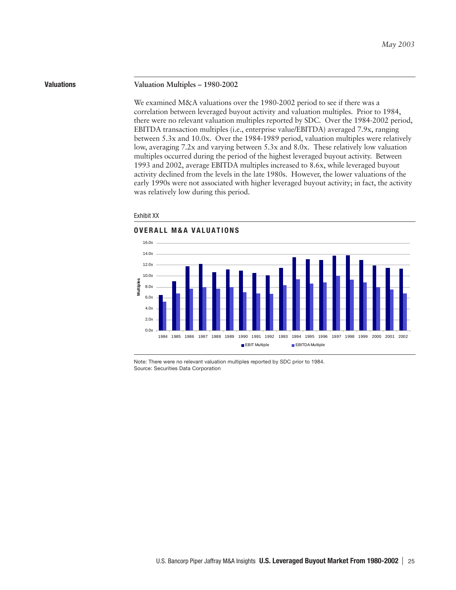#### **Valuations Valuation Multiples – 1980-2002**

We examined M&A valuations over the 1980-2002 period to see if there was a correlation between leveraged buyout activity and valuation multiples. Prior to 1984, there were no relevant valuation multiples reported by SDC. Over the 1984-2002 period, EBITDA transaction multiples (i.e., enterprise value/EBITDA) averaged 7.9x, ranging between 5.3x and 10.0x. Over the 1984-1989 period, valuation multiples were relatively low, averaging 7.2x and varying between 5.3x and 8.0x. These relatively low valuation multiples occurred during the period of the highest leveraged buyout activity. Between 1993 and 2002, average EBITDA multiples increased to 8.6x, while leveraged buyout activity declined from the levels in the late 1980s. However, the lower valuations of the early 1990s were not associated with higher leveraged buyout activity; in fact, the activity was relatively low during this period.

#### Exhibit XX





Note: There were no relevant valuation multiples reported by SDC prior to 1984. Source: Securities Data Corporation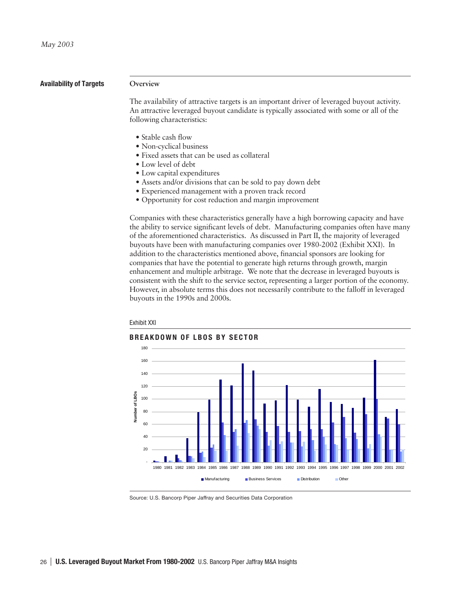## **Availability of Targets Overview**

The availability of attractive targets is an important driver of leveraged buyout activity. An attractive leveraged buyout candidate is typically associated with some or all of the following characteristics:

- Stable cash flow
- Non-cyclical business
- Fixed assets that can be used as collateral
- Low level of debt
- Low capital expenditures
- Assets and/or divisions that can be sold to pay down debt
- Experienced management with a proven track record
- Opportunity for cost reduction and margin improvement

Companies with these characteristics generally have a high borrowing capacity and have the ability to service significant levels of debt. Manufacturing companies often have many of the aforementioned characteristics. As discussed in Part II, the majority of leveraged buyouts have been with manufacturing companies over 1980-2002 (Exhibit XXI). In addition to the characteristics mentioned above, financial sponsors are looking for companies that have the potential to generate high returns through growth, margin enhancement and multiple arbitrage. We note that the decrease in leveraged buyouts is consistent with the shift to the service sector, representing a larger portion of the economy. However, in absolute terms this does not necessarily contribute to the falloff in leveraged buyouts in the 1990s and 2000s.



Exhibit XXI

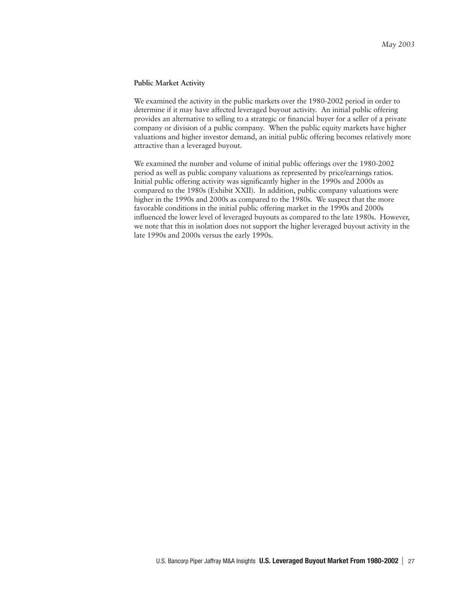## **Public Market Activity**

We examined the activity in the public markets over the 1980-2002 period in order to determine if it may have affected leveraged buyout activity. An initial public offering provides an alternative to selling to a strategic or financial buyer for a seller of a private company or division of a public company. When the public equity markets have higher valuations and higher investor demand, an initial public offering becomes relatively more attractive than a leveraged buyout.

We examined the number and volume of initial public offerings over the 1980-2002 period as well as public company valuations as represented by price/earnings ratios. Initial public offering activity was significantly higher in the 1990s and 2000s as compared to the 1980s (Exhibit XXII). In addition, public company valuations were higher in the 1990s and 2000s as compared to the 1980s. We suspect that the more favorable conditions in the initial public offering market in the 1990s and 2000s influenced the lower level of leveraged buyouts as compared to the late 1980s. However, we note that this in isolation does not support the higher leveraged buyout activity in the late 1990s and 2000s versus the early 1990s.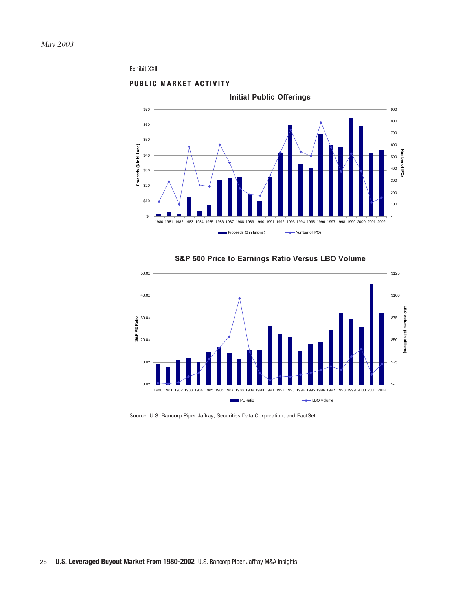## Exhibit XXII





# S&P 500 Price to Earnings Ratio Versus LBO Volume

Source: U.S. Bancorp Piper Jaffray; Securities Data Corporation; and FactSet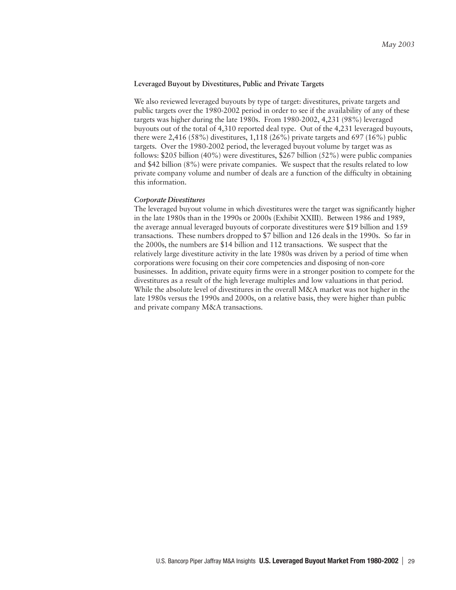# **Leveraged Buyout by Divestitures, Public and Private Targets**

We also reviewed leveraged buyouts by type of target: divestitures, private targets and public targets over the 1980-2002 period in order to see if the availability of any of these targets was higher during the late 1980s. From 1980-2002, 4,231 (98%) leveraged buyouts out of the total of 4,310 reported deal type. Out of the 4,231 leveraged buyouts, there were 2,416 (58%) divestitures, 1,118 (26%) private targets and 697 (16%) public targets. Over the 1980-2002 period, the leveraged buyout volume by target was as follows: \$205 billion (40%) were divestitures, \$267 billion (52%) were public companies and \$42 billion (8%) were private companies. We suspect that the results related to low private company volume and number of deals are a function of the difficulty in obtaining this information.

## *Corporate Divestitures*

The leveraged buyout volume in which divestitures were the target was significantly higher in the late 1980s than in the 1990s or 2000s (Exhibit XXIII). Between 1986 and 1989, the average annual leveraged buyouts of corporate divestitures were \$19 billion and 159 transactions. These numbers dropped to \$7 billion and 126 deals in the 1990s. So far in the 2000s, the numbers are \$14 billion and 112 transactions. We suspect that the relatively large divestiture activity in the late 1980s was driven by a period of time when corporations were focusing on their core competencies and disposing of non-core businesses. In addition, private equity firms were in a stronger position to compete for the divestitures as a result of the high leverage multiples and low valuations in that period. While the absolute level of divestitures in the overall M&A market was not higher in the late 1980s versus the 1990s and 2000s, on a relative basis, they were higher than public and private company M&A transactions.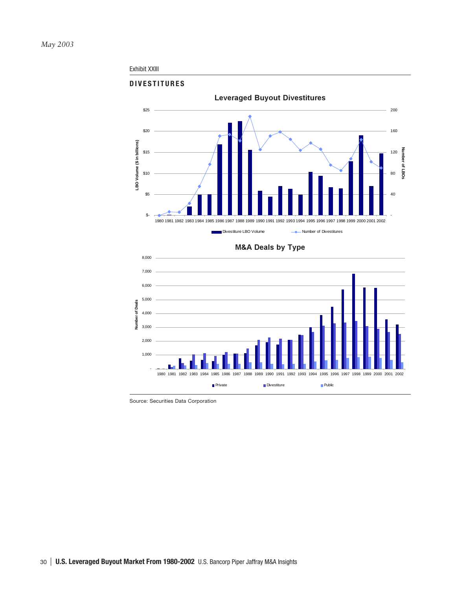## Exhibit XXIII



**M&A Deals by Type** 



Source: Securities Data Corporation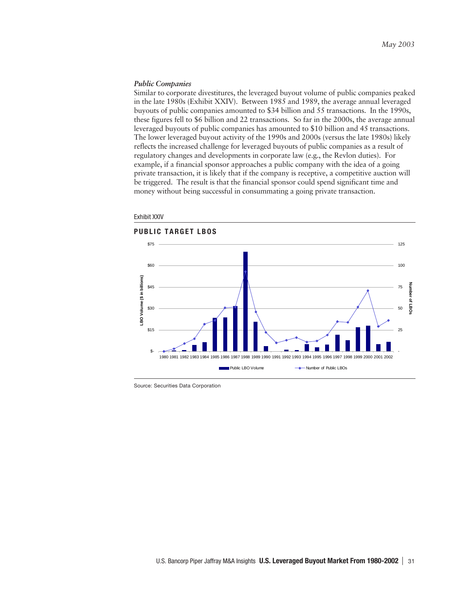#### *Public Companies*

Similar to corporate divestitures, the leveraged buyout volume of public companies peaked in the late 1980s (Exhibit XXIV). Between 1985 and 1989, the average annual leveraged buyouts of public companies amounted to \$34 billion and 55 transactions. In the 1990s, these figures fell to \$6 billion and 22 transactions. So far in the 2000s, the average annual leveraged buyouts of public companies has amounted to \$10 billion and 45 transactions. The lower leveraged buyout activity of the 1990s and 2000s (versus the late 1980s) likely reflects the increased challenge for leveraged buyouts of public companies as a result of regulatory changes and developments in corporate law (e.g., the Revlon duties). For example, if a financial sponsor approaches a public company with the idea of a going private transaction, it is likely that if the company is receptive, a competitive auction will be triggered. The result is that the financial sponsor could spend significant time and money without being successful in consummating a going private transaction.



Exhibit XXIV

Source: Securities Data Corporation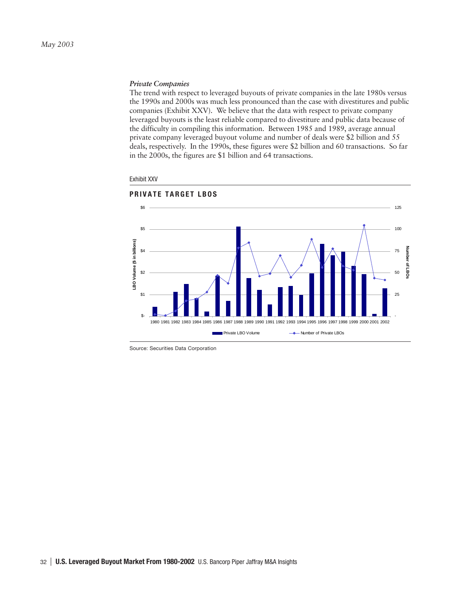# *Private Companies*

The trend with respect to leveraged buyouts of private companies in the late 1980s versus the 1990s and 2000s was much less pronounced than the case with divestitures and public companies (Exhibit XXV). We believe that the data with respect to private company leveraged buyouts is the least reliable compared to divestiture and public data because of the difficulty in compiling this information. Between 1985 and 1989, average annual private company leveraged buyout volume and number of deals were \$2 billion and 55 deals, respectively. In the 1990s, these figures were \$2 billion and 60 transactions. So far in the 2000s, the figures are \$1 billion and 64 transactions.



#### Exhibit XXV

Source: Securities Data Corporation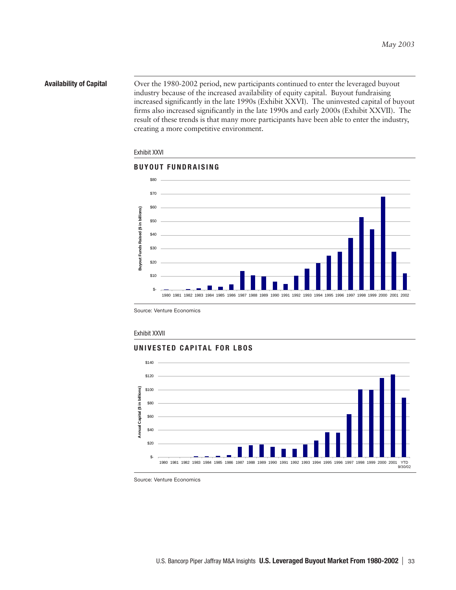**Availability of Capital** Over the 1980-2002 period, new participants continued to enter the leveraged buyout industry because of the increased availability of equity capital. Buyout fundraising increased significantly in the late 1990s (Exhibit XXVI). The uninvested capital of buyout firms also increased significantly in the late 1990s and early 2000s (Exhibit XXVII). The result of these trends is that many more participants have been able to enter the industry, creating a more competitive environment.

# Exhibit XXVI



Source: Venture Economics

#### Exhibit XXVII

# **UNIVESTED CAPITAL FOR LBOS**



Source: Venture Economics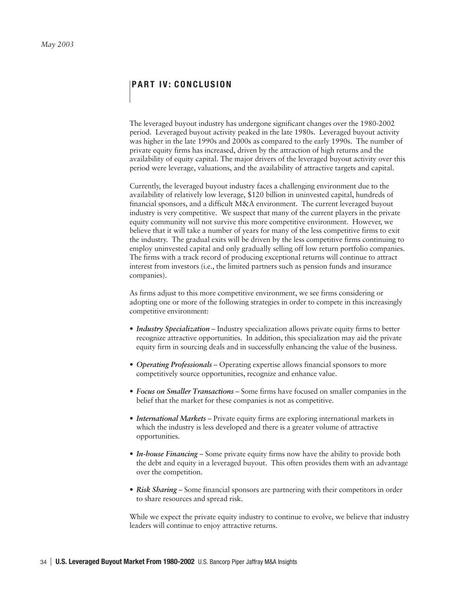# **PART IV: CONCLUSION**

The leveraged buyout industry has undergone significant changes over the 1980-2002 period. Leveraged buyout activity peaked in the late 1980s. Leveraged buyout activity was higher in the late 1990s and 2000s as compared to the early 1990s. The number of private equity firms has increased, driven by the attraction of high returns and the availability of equity capital. The major drivers of the leveraged buyout activity over this period were leverage, valuations, and the availability of attractive targets and capital.

Currently, the leveraged buyout industry faces a challenging environment due to the availability of relatively low leverage, \$120 billion in uninvested capital, hundreds of financial sponsors, and a difficult M&A environment. The current leveraged buyout industry is very competitive. We suspect that many of the current players in the private equity community will not survive this more competitive environment. However, we believe that it will take a number of years for many of the less competitive firms to exit the industry. The gradual exits will be driven by the less competitive firms continuing to employ uninvested capital and only gradually selling off low return portfolio companies. The firms with a track record of producing exceptional returns will continue to attract interest from investors (i.e., the limited partners such as pension funds and insurance companies).

As firms adjust to this more competitive environment, we see firms considering or adopting one or more of the following strategies in order to compete in this increasingly competitive environment:

- *Industry Specialization*  Industry specialization allows private equity firms to better recognize attractive opportunities. In addition, this specialization may aid the private equity firm in sourcing deals and in successfully enhancing the value of the business.
- *Operating Professionals*  Operating expertise allows financial sponsors to more competitively source opportunities, recognize and enhance value.
- *Focus on Smaller Transactions*  Some firms have focused on smaller companies in the belief that the market for these companies is not as competitive.
- *International Markets*  Private equity firms are exploring international markets in which the industry is less developed and there is a greater volume of attractive opportunities.
- *In-house Financing*  Some private equity firms now have the ability to provide both the debt and equity in a leveraged buyout. This often provides them with an advantage over the competition.
- *Risk Sharing*  Some financial sponsors are partnering with their competitors in order to share resources and spread risk.

While we expect the private equity industry to continue to evolve, we believe that industry leaders will continue to enjoy attractive returns.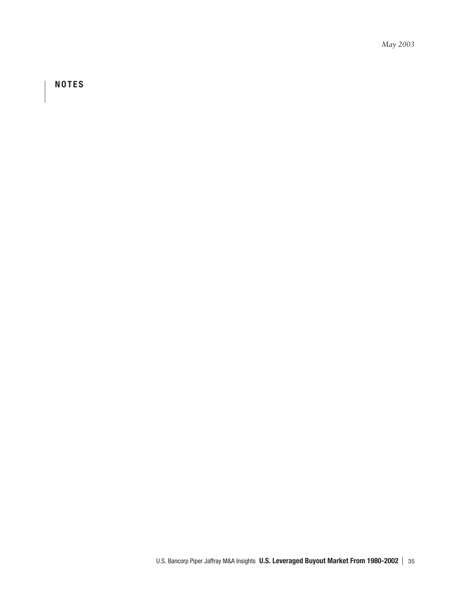*May 2003*

 **NOTES**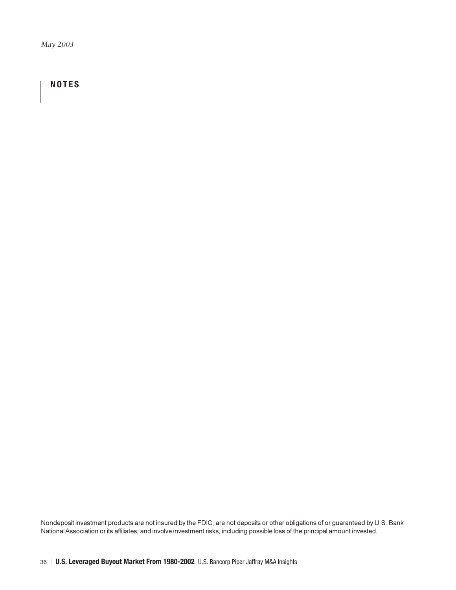*May 2003*

# **NOTES**

Nondeposit investment products are not insured by the FDIC, are not deposits or other obligations of or guaranteed by U.S. Bank National Association or its affiliates, and involve investment risks, including possible loss of the principal amount invested.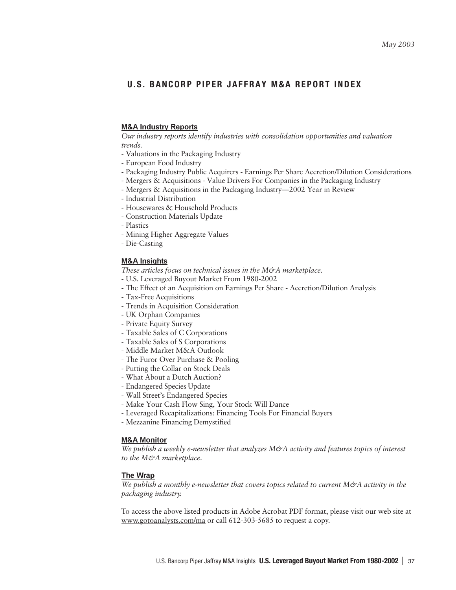# U.S. BANCORP PIPER JAFFRAY M&A REPORT INDEX

# **M&A Industry Reports**

*Our industry reports identify industries with consolidation opportunities and valuation trends.*

- Valuations in the Packaging Industry
- European Food Industry
- Packaging Industry Public Acquirers Earnings Per Share Accretion/Dilution Considerations
- Mergers & Acquisitions Value Drivers For Companies in the Packaging Industry
- Mergers & Acquisitions in the Packaging Industry—2002 Year in Review
- Industrial Distribution
- Housewares & Household Products
- Construction Materials Update
- Plastics
- Mining Higher Aggregate Values
- Die-Casting

# **M&A** Insights

*These articles focus on technical issues in the M&A marketplace.*

- U.S. Leveraged Buyout Market From 1980-2002
- The Effect of an Acquisition on Earnings Per Share Accretion/Dilution Analysis
- Tax-Free Acquisitions
- Trends in Acquisition Consideration
- UK Orphan Companies
- Private Equity Survey
- Taxable Sales of C Corporations
- Taxable Sales of S Corporations
- Middle Market M&A Outlook
- The Furor Over Purchase & Pooling
- Putting the Collar on Stock Deals
- What About a Dutch Auction?
- Endangered Species Update
- Wall Street's Endangered Species
- Make Your Cash Flow Sing, Your Stock Will Dance
- Leveraged Recapitalizations: Financing Tools For Financial Buyers
- Mezzanine Financing Demystified

# <u>M&A Monitor</u>

*We publish a weekly e-newsletter that analyzes M&A activity and features topics of interest to the M&A marketplace.*

#### **The Wrap**

*We publish a monthly e-newsletter that covers topics related to current M&A activity in the packaging industry.*

To access the above listed products in Adobe Acrobat PDF format, please visit our web site at www.gotoanalysts.com/ma or call 612-303-5685 to request a copy.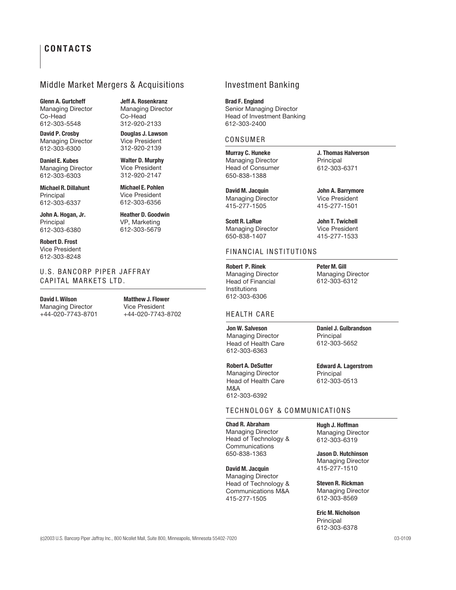# **CONTACTS**

# Middle Market Mergers & Acquisitions

Glenn A. Gurtcheff **Jeff A. Rosenkranz** Managing Director Managing Director<br>
Co-Head Co-Head Co-Head

**David P. Crosby** Managing Director 612-303-6300

**Daniel E. Kubes** Managing Director 612-303-6303

**Michael R. Dillahunt** Principal 612-303-6337

**John A. Hogan, Jr.** Principal 612-303-6380

**Robert D. Frost** Vice President 612-303-8248

U.S. BANCORP PIPER JAFFRAY CAPITAL MARKETS LTD.

**David I. Wilson** Managing Director +44-020-7743-8701

612-303-5548 312-920-2133

**Douglas J. Lawson** Vice President 312-920-2139

**Walter D. Murphy** Vice President 312-920-2147

**Michael E. Pohlen** Vice President 612-303-6356

**Heather D. Goodwin** VP, Marketing 612-303-5679

612-303-6306 **Matthew J. Flower** Vice President +44-020-7743-8702

# Investment Banking

**Brad F. England** Senior Managing Director Head of Investment Banking

# CONSUMER

612-303-2400

**Murray C. Huneke** Managing Director Head of Consumer 650-838-1388

**David M. Jacquin** Managing Director 415-277-1505

**Scott R. LaRue** Managing Director 650-838-1407

# FINANCIAL INSTITUTIONS

**Robert P. Rinek** Managing Director Head of Financial Institutions

# HEALTH CARE

**Jon W. Salveson** Managing Director Head of Health Care 612-303-6363

**Robert A. DeSutter** Managing Director Head of Health Care M&A

612-303-6392

**Peter M. Gill** Managing Director 612-303-6312

**J. Thomas Halverson**

**John A. Barrymore** Vice President 415-277-1501

Principal 612-303-6371

# **Daniel J. Gulbrandson** Principal

612-303-5652

**Edward A. Lagerstrom** Principal 612-303-0513

# TECHNOLOGY & COMMUNICATIONS

**Chad R. Abraham** Managing Director Head of Technology & Communications 650-838-1363

**David M. Jacquin** Managing Director Head of Technology & Communications M&A 415-277-1505

**Hugh J. Hoffman** Managing Director 612-303-6319

**Jason D. Hutchinson** Managing Director 415-277-1510

**Steven R. Rickman** Managing Director 612-303-8569

#### **Eric M. Nicholson**

Principal 612-303-6378

# **John T. Twichell** Vice President 415-277-1533